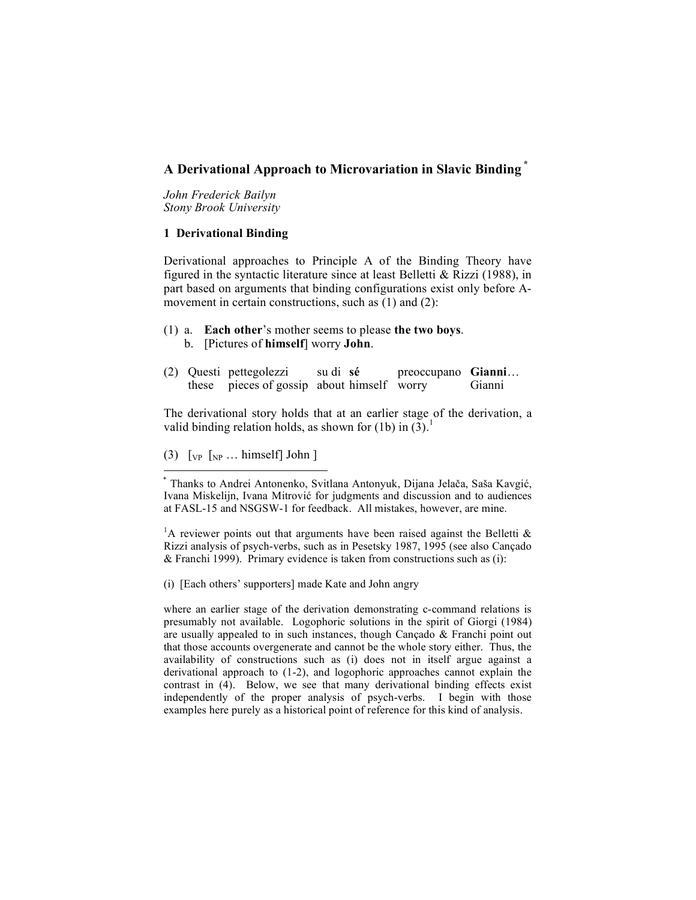# **A Derivational Approach to Microvariation in Slavic Binding \***

*John Frederick Bailyn Stony Brook University*

## **1 Derivational Binding**

Derivational approaches to Principle A of the Binding Theory have figured in the syntactic literature since at least Belletti & Rizzi (1988), in part based on arguments that binding configurations exist only before Amovement in certain constructions, such as (1) and (2):

- (1) a. **Each other**'s mother seems to please **the two boys**. b. [Pictures of **himself**] worry **John**.
- (2) Questi pettegolezzi su di **sé** preoccupano **Gianni**… these pieces of gossip about himself worry Gianni

The derivational story holds that at an earlier stage of the derivation, a valid binding relation holds, as shown for (1b) in  $(3)$ .

(3)  $\lceil v \rceil \rceil$   $\lceil v \rceil \rceil \rceil \rceil \rceil$   $\lceil v \rceil \rceil \rceil$ 

<sup>1</sup>A reviewer points out that arguments have been raised against the Belletti  $\&$ Rizzi analysis of psych-verbs, such as in Pesetsky 1987, 1995 (see also Cançado & Franchi 1999). Primary evidence is taken from constructions such as (i):

(i) [Each others' supporters] made Kate and John angry

where an earlier stage of the derivation demonstrating c-command relations is presumably not available. Logophoric solutions in the spirit of Giorgi (1984) are usually appealed to in such instances, though Cançado & Franchi point out that those accounts overgenerate and cannot be the whole story either. Thus, the availability of constructions such as (i) does not in itself argue against a derivational approach to (1-2), and logophoric approaches cannot explain the contrast in (4). Below, we see that many derivational binding effects exist independently of the proper analysis of psych-verbs. I begin with those examples here purely as a historical point of reference for this kind of analysis.

<sup>\*</sup> Thanks to Andrei Antonenko, Svitlana Antonyuk, Dijana Jelača, Saša Kavgić, Ivana Miskelijn, Ivana Mitrović for judgments and discussion and to audiences at FASL-15 and NSGSW-1 for feedback. All mistakes, however, are mine.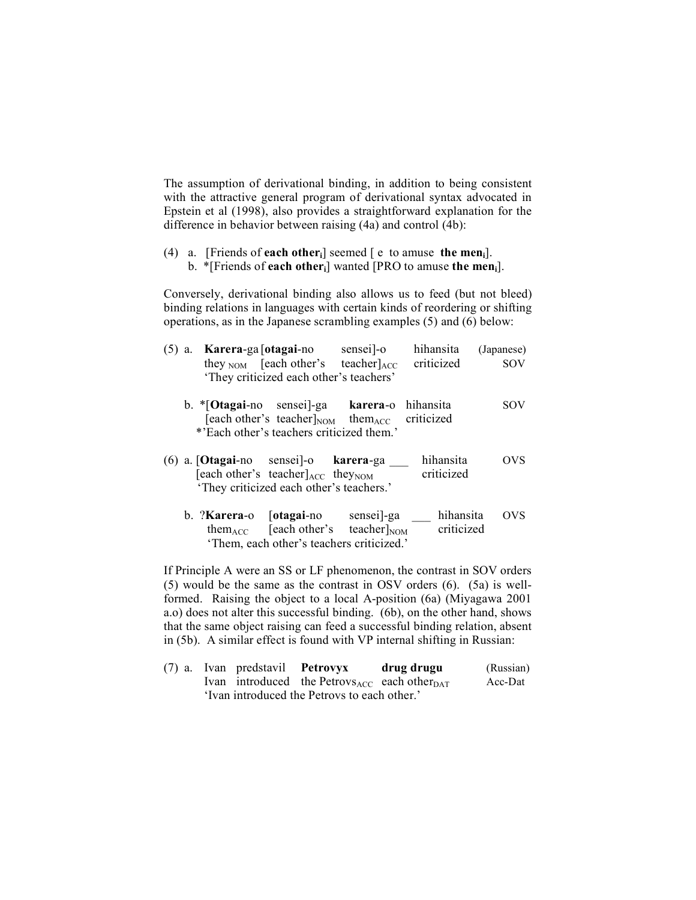The assumption of derivational binding, in addition to being consistent with the attractive general program of derivational syntax advocated in Epstein et al (1998), also provides a straightforward explanation for the difference in behavior between raising (4a) and control (4b):

(4) a. [Friends of **each otheri**] seemed [ e to amuse **the meni**]. b. \*[Friends of **each otheri**] wanted [PRO to amuse **the meni**].

Conversely, derivational binding also allows us to feed (but not bleed) binding relations in languages with certain kinds of reordering or shifting operations, as in the Japanese scrambling examples (5) and (6) below:

| $(5)$ a. |                                         | <b>Karera-ga</b> [otagai-no               | sensei -o                                                            | hihansita  | (Japanese) |
|----------|-----------------------------------------|-------------------------------------------|----------------------------------------------------------------------|------------|------------|
|          |                                         |                                           | they $_{\text{NOM}}$ [each other's teacher] $_{\text{ACC}}$          | criticized | <b>SOV</b> |
|          | 'They criticized each other's teachers' |                                           |                                                                      |            |            |
|          |                                         |                                           | b. *[Otagai-no sensei]-ga karera-o hihansita                         |            | SOV        |
|          |                                         |                                           | [each other's teacher] <sub>NOM</sub> them <sub>ACC</sub> criticized |            |            |
|          |                                         | *'Each other's teachers criticized them.' |                                                                      |            |            |
|          |                                         | (6) a. [Otagai-no sensei]-o karera-ga     |                                                                      | hihansita  | OVS        |
|          |                                         | [each other's teacher]ACC theyNOM         |                                                                      | criticized |            |
|          |                                         | 'They criticized each other's teachers.'  |                                                                      |            |            |

b. ?**Karera**-o [**otagai**-no sensei]-ga \_\_\_ hihansita OVS them $_{\text{ACC}}$  [each other's teacher] $_{\text{NOM}}$  criticized 'Them, each other's teachers criticized.'

If Principle A were an SS or LF phenomenon, the contrast in SOV orders (5) would be the same as the contrast in OSV orders (6). (5a) is wellformed. Raising the object to a local A-position (6a) (Miyagawa 2001 a.o) does not alter this successful binding. (6b), on the other hand, shows that the same object raising can feed a successful binding relation, absent in (5b). A similar effect is found with VP internal shifting in Russian:

(7) a. Ivan predstavil **Petrovyx drug drugu** (Russian) Ivan introduced the Petrovs $_{ACC}$  each other $_{DATA}$  Acc-Dat 'Ivan introduced the Petrovs to each other.'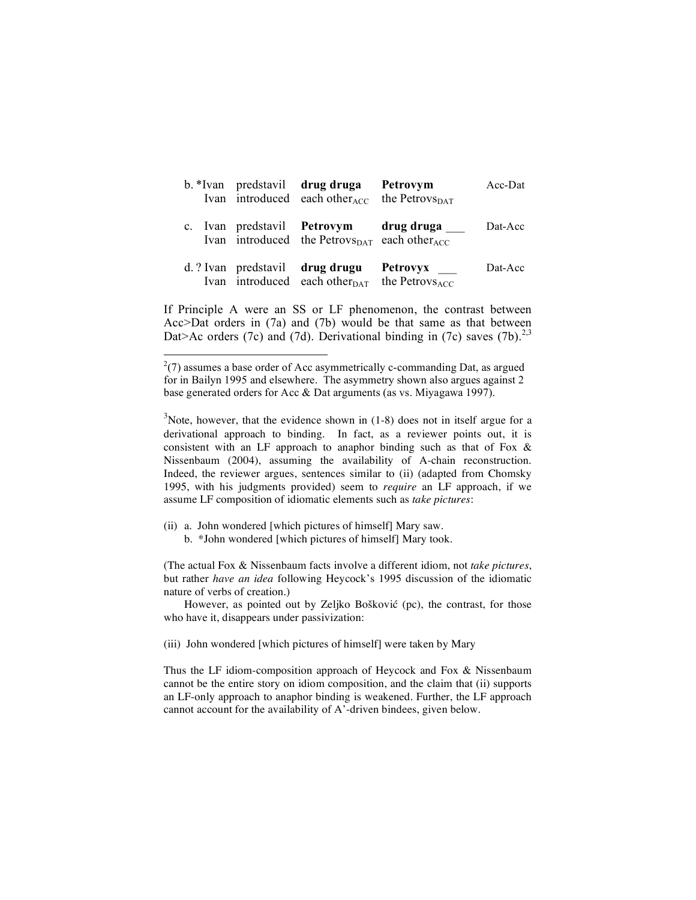|  | b. *Ivan predstavil drug druga<br>Ivan introduced each other <sub>ACC</sub>                                   | Petrovym<br>the Petrov $s_{\text{DAT}}$ | Acc-Dat             |
|--|---------------------------------------------------------------------------------------------------------------|-----------------------------------------|---------------------|
|  | c. Ivan predstavil <b>Petrovym</b><br>Ivan introduced the Petrovs $_{\text{DATA}}$ each other $_{\text{ACC}}$ | drug druga                              | Dat-Acc             |
|  | d. ? Ivan predstavil drug drugu<br>Ivan introduced each other $_{\text{DATA}}$ the Petrovs <sub>ACC</sub>     | Petrovyx ____                           | $_{\text{Det-Acc}}$ |

If Principle A were an SS or LF phenomenon, the contrast between Acc>Dat orders in (7a) and (7b) would be that same as that between Dat>Ac orders (7c) and (7d). Derivational binding in (7c) saves (7b).<sup>2,3</sup>

 $3$ Note, however, that the evidence shown in (1-8) does not in itself argue for a derivational approach to binding. In fact, as a reviewer points out, it is consistent with an LF approach to anaphor binding such as that of Fox  $\&$ Nissenbaum (2004), assuming the availability of A-chain reconstruction. Indeed, the reviewer argues, sentences similar to (ii) (adapted from Chomsky 1995, with his judgments provided) seem to *require* an LF approach, if we assume LF composition of idiomatic elements such as *take pictures*:

- (ii) a. John wondered [which pictures of himself] Mary saw.
	- b. \*John wondered [which pictures of himself] Mary took.

(The actual Fox & Nissenbaum facts involve a different idiom, not *take pictures*, but rather *have an idea* following Heycock's 1995 discussion of the idiomatic nature of verbs of creation.)

However, as pointed out by Zeljko Bošković (pc), the contrast, for those who have it, disappears under passivization:

(iii) John wondered [which pictures of himself] were taken by Mary

Thus the LF idiom-composition approach of Heycock and Fox & Nissenbaum cannot be the entire story on idiom composition, and the claim that (ii) supports an LF-only approach to anaphor binding is weakened. Further, the LF approach cannot account for the availability of A'-driven bindees, given below.

 $\frac{1}{2}$  $^{2}(7)$  assumes a base order of Acc asymmetrically c-commanding Dat, as argued for in Bailyn 1995 and elsewhere. The asymmetry shown also argues against 2 base generated orders for Acc & Dat arguments (as vs. Miyagawa 1997).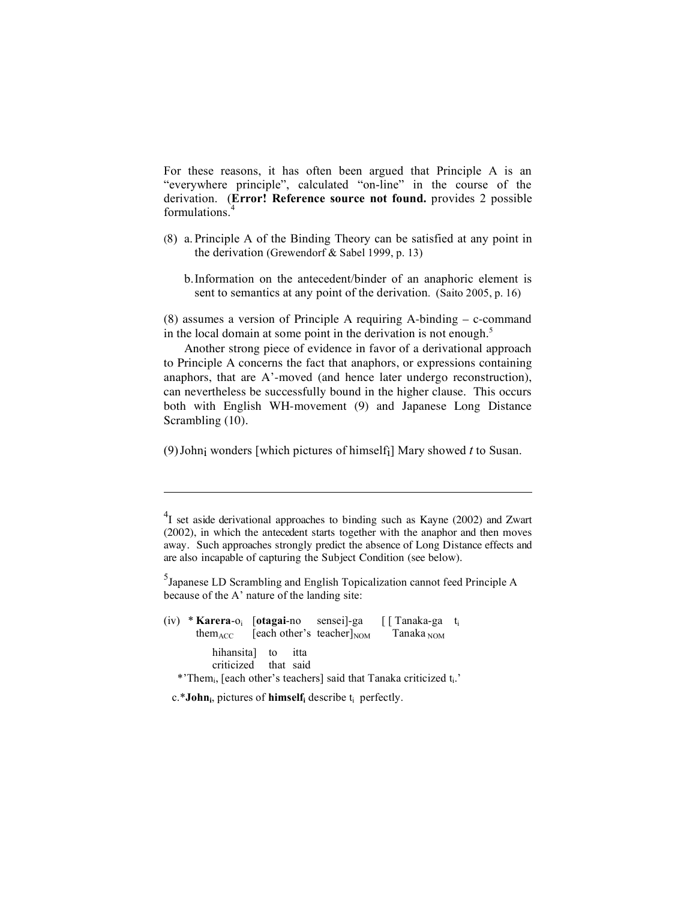For these reasons, it has often been argued that Principle A is an "everywhere principle", calculated "on-line" in the course of the derivation. (**Error! Reference source not found.** provides 2 possible formulations. 4

- (8) a. Principle A of the Binding Theory can be satisfied at any point in the derivation (Grewendorf & Sabel 1999, p. 13)
	- b.Information on the antecedent/binder of an anaphoric element is sent to semantics at any point of the derivation. (Saito 2005, p. 16)

(8) assumes a version of Principle A requiring A-binding – c-command in the local domain at some point in the derivation is not enough.<sup>5</sup>

Another strong piece of evidence in favor of a derivational approach to Principle A concerns the fact that anaphors, or expressions containing anaphors, that are A'-moved (and hence later undergo reconstruction), can nevertheless be successfully bound in the higher clause. This occurs both with English WH-movement (9) and Japanese Long Distance Scrambling  $(10)$ .

(9)Johni wonders [which pictures of himselfi] Mary showed *t* to Susan.

<sup>5</sup> Japanese LD Scrambling and English Topicalization cannot feed Principle A because of the A' nature of the landing site:

|                                                                                                                            |  |  |                                                           | $(iv) * Karea-o_i$ [otagai-no sensei]-ga [[Tanaka-ga t <sub>i</sub> ] |  |
|----------------------------------------------------------------------------------------------------------------------------|--|--|-----------------------------------------------------------|-----------------------------------------------------------------------|--|
|                                                                                                                            |  |  | them <sub>ACC</sub> [each other's teacher] <sub>NOM</sub> | Tanaka $_{\text{NOM}}$                                                |  |
| hihansita to itta<br>criticized that said<br>*'Them, [each other's teachers] said that Tanaka criticized t <sub>i</sub> .' |  |  |                                                           |                                                                       |  |

c.\***John**<sub>i</sub>, pictures of **himself**<sub>i</sub> describe t<sub>i</sub> perfectly.

 $\overline{a}$ 

 $^{4}$ I set aside derivational approaches to binding such as Kayne (2002) and Zwart (2002), in which the antecedent starts together with the anaphor and then moves away. Such approaches strongly predict the absence of Long Distance effects and are also incapable of capturing the Subject Condition (see below).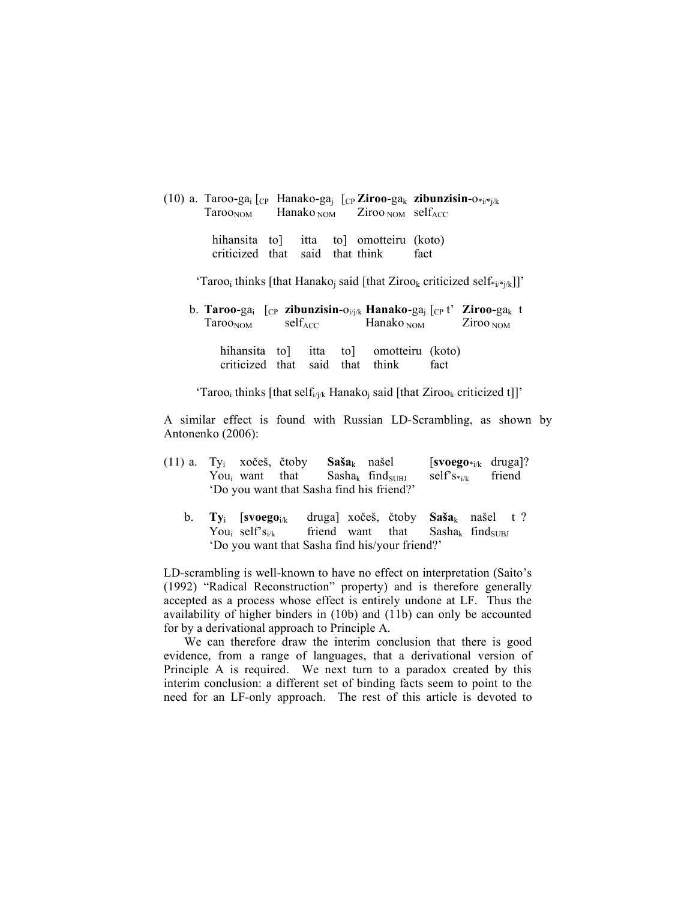|  |                                                                           | (10) a. Taroo-ga <sub>i</sub> [ <sub>CP</sub> Hanako-ga <sub>i</sub> [ <sub>CP</sub> <b>Ziroo-ga</b> <sub>k</sub> <b>zibunzisin-</b> o*i/*j/k |
|--|---------------------------------------------------------------------------|-----------------------------------------------------------------------------------------------------------------------------------------------|
|  | $TarooNOM$ Hanako <sub>NOM</sub> Ziroo <sub>NOM</sub> self <sub>ACC</sub> |                                                                                                                                               |

hihansita to] itta to] omotteiru (koto) criticized that said that think fact

'Taroo<sub>i</sub> thinks [that Hanako<sub>i</sub> said [that Ziroo<sub>k</sub> criticized self $*_{i}$ /\*<sub>i/k</sub>]]'

b. **Taroo**-gai [CP **zibunzisin**-oi/j/k **Hanako**-gaj [CP t' **Ziroo**-gak t  $Taroo<sub>nom</sub>$  self<sub>ACC</sub> Hanako <sub>NOM</sub> Ziroo <sub>NOM</sub>

hihansita to itta to omotteiru (koto) criticized that said that think fact

'Taroo<sub>i</sub> thinks [that self<sub>i/j/k</sub> Hanako<sub>j</sub> said [that Ziroo<sub>k</sub> criticized t]]'

A similar effect is found with Russian LD-Scrambling, as shown by Antonenko (2006):

|  |                                           | $(11)$ a. Ty <sub>i</sub> xočeš, čtoby <b>Saša</b> <sub>k</sub> našel |  | $\left[\text{svoego}_{i/k} \text{ druga}\right]$ ? |  |
|--|-------------------------------------------|-----------------------------------------------------------------------|--|----------------------------------------------------|--|
|  |                                           | You <sub>i</sub> want that Sasha <sub>k</sub> find <sub>SUBI</sub>    |  | self' $S_{*i/k}$ friend                            |  |
|  | 'Do you want that Sasha find his friend?' |                                                                       |  |                                                    |  |

b. **Ty**<sub>i</sub> [svoego<sub>i/k</sub> druga] xočeš, čtoby Saša<sub>k</sub> našel t ? You<sub>i</sub> self's<sub>i/k</sub> friend want that Sasha<sub>k</sub> find<sub>SUBJ</sub> 'Do you want that Sasha find his/your friend?'

LD-scrambling is well-known to have no effect on interpretation (Saito's (1992) "Radical Reconstruction" property) and is therefore generally accepted as a process whose effect is entirely undone at LF. Thus the availability of higher binders in (10b) and (11b) can only be accounted for by a derivational approach to Principle A.

We can therefore draw the interim conclusion that there is good evidence, from a range of languages, that a derivational version of Principle A is required. We next turn to a paradox created by this interim conclusion: a different set of binding facts seem to point to the need for an LF-only approach. The rest of this article is devoted to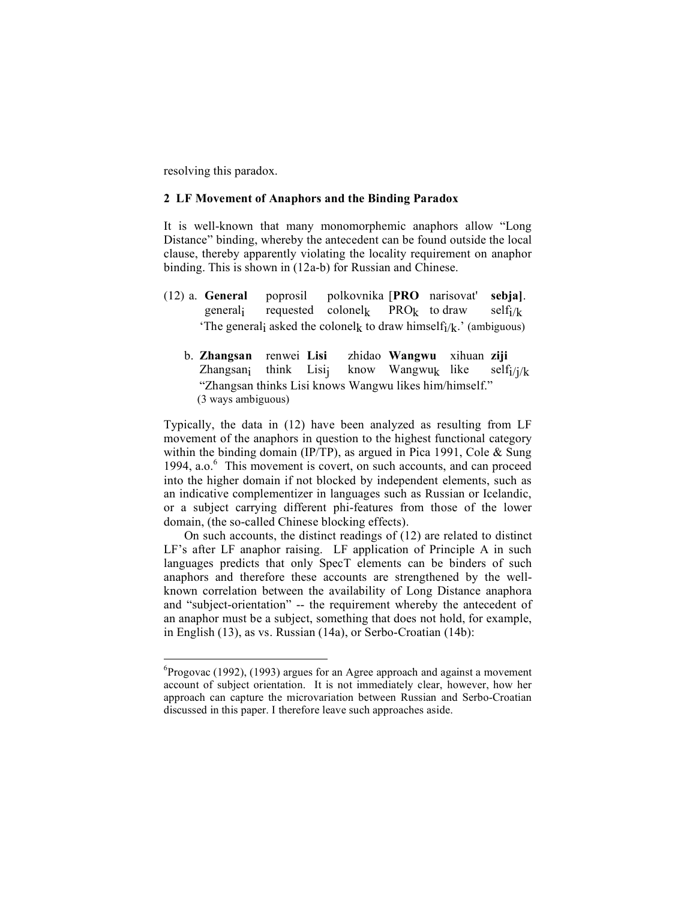resolving this paradox.

### **2 LF Movement of Anaphors and the Binding Paradox**

It is well-known that many monomorphemic anaphors allow "Long Distance" binding, whereby the antecedent can be found outside the local clause, thereby apparently violating the locality requirement on anaphor binding. This is shown in (12a-b) for Russian and Chinese.

- (12) a. **General** poprosil polkovnika [**PRO** narisovat' **sebja]**. general<sub>i</sub> requested colonel<sub>k</sub> PRO<sub>k</sub> to draw self<sub>i</sub>/<sub>k</sub> 'The general<sub>i</sub> asked the colonel<sub>k</sub> to draw himself<sub>i</sub>/<sub>k</sub>.' (ambiguous)
	- b. **Zhangsan** renwei **Lisi** zhidao **Wangwu** xihuan **ziji** Zhangsani think Lisij know Wangwuk like self $i/k$ "Zhangsan thinks Lisi knows Wangwu likes him/himself." (3 ways ambiguous)

Typically, the data in (12) have been analyzed as resulting from LF movement of the anaphors in question to the highest functional category within the binding domain (IP/TP), as argued in Pica 1991, Cole  $&$  Sung 1994, a.o.<sup>6</sup> This movement is covert, on such accounts, and can proceed into the higher domain if not blocked by independent elements, such as an indicative complementizer in languages such as Russian or Icelandic, or a subject carrying different phi-features from those of the lower domain, (the so-called Chinese blocking effects).

On such accounts, the distinct readings of (12) are related to distinct LF's after LF anaphor raising. LF application of Principle A in such languages predicts that only SpecT elements can be binders of such anaphors and therefore these accounts are strengthened by the wellknown correlation between the availability of Long Distance anaphora and "subject-orientation" -- the requirement whereby the antecedent of an anaphor must be a subject, something that does not hold, for example, in English (13), as vs. Russian (14a), or Serbo-Croatian (14b):

 <sup>6</sup>  ${}^{6}$ Progovac (1992), (1993) argues for an Agree approach and against a movement account of subject orientation. It is not immediately clear, however, how her approach can capture the microvariation between Russian and Serbo-Croatian discussed in this paper. I therefore leave such approaches aside.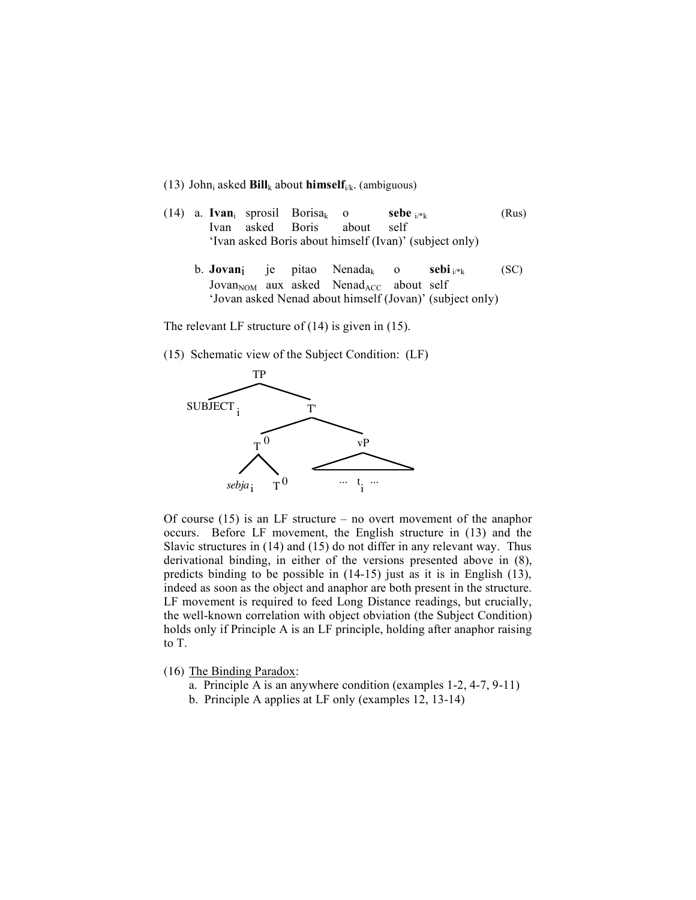#### (13) John<sub>i</sub> asked  $\text{Bill}_k$  about **himself**<sub>i/k</sub>. (ambiguous)

- (14) a. **Ivan**<sub>i</sub> sprosil Borisa<sub>k</sub> o **sebe**  $i^{*k}$  (Rus) Ivan asked Boris about self 'Ivan asked Boris about himself (Ivan)' (subject only)
	- b. **Jovan**i je pitao Nenada<sub>k</sub> o **sebi**  $i_{\ell}$ <sub>k</sub> (SC)  $Jovan<sub>NOM</sub>$  aux asked Nenad<sub>ACC</sub> about self 'Jovan asked Nenad about himself (Jovan)' (subject only)

The relevant LF structure of  $(14)$  is given in  $(15)$ .

(15) Schematic view of the Subject Condition: (LF)



Of course  $(15)$  is an LF structure – no overt movement of the anaphor occurs. Before LF movement, the English structure in (13) and the Slavic structures in (14) and (15) do not differ in any relevant way. Thus derivational binding, in either of the versions presented above in (8), predicts binding to be possible in (14-15) just as it is in English (13), indeed as soon as the object and anaphor are both present in the structure. LF movement is required to feed Long Distance readings, but crucially, the well-known correlation with object obviation (the Subject Condition) holds only if Principle A is an LF principle, holding after anaphor raising to T.

- (16) The Binding Paradox:
	- a. Principle A is an anywhere condition (examples 1-2, 4-7, 9-11)
	- b. Principle A applies at LF only (examples 12, 13-14)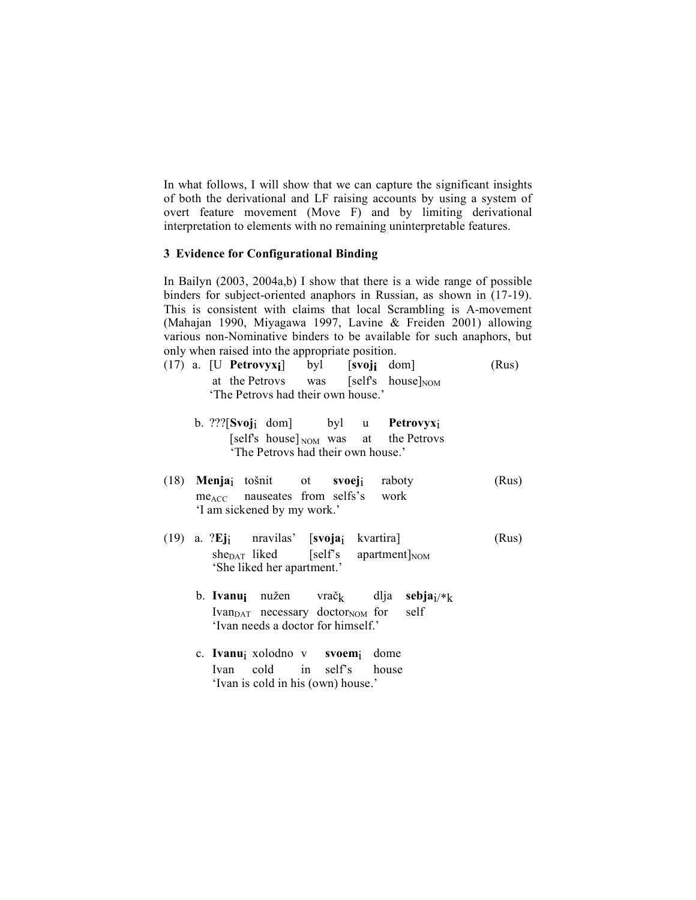In what follows, I will show that we can capture the significant insights of both the derivational and LF raising accounts by using a system of overt feature movement (Move F) and by limiting derivational interpretation to elements with no remaining uninterpretable features.

### **3 Evidence for Configurational Binding**

In Bailyn (2003, 2004a,b) I show that there is a wide range of possible binders for subject-oriented anaphors in Russian, as shown in (17-19). This is consistent with claims that local Scrambling is A-movement (Mahajan 1990, Miyagawa 1997, Lavine & Freiden 2001) allowing various non-Nominative binders to be available for such anaphors, but only when raised into the appropriate position.

|  | $(17)$ a. [U <b>Petrovyx</b> <sub>i</sub> ] byl [svoj <sub>i</sub> dom] |  | (Rus) |
|--|-------------------------------------------------------------------------|--|-------|
|  | at the Petrovs was [self's house] <sub>NOM</sub>                        |  |       |
|  | 'The Petrovs had their own house.'                                      |  |       |

- b. ???[**Svoj**i dom] byl u **Petrovyx**i  $[selfs \; house]_{\text{NOM}}$  was at the Petrovs 'The Petrovs had their own house.'
- (18) **Menja**<sub>i</sub> tošnit ot **svoej**<sub>i</sub> raboty (Rus) me<sub>ACC</sub> nauseates from selfs's work 'I am sickened by my work.'
- (19) a. ?**Ej**i nravilas' [**svoja**i kvartira] (Rus)  $she<sub>DATA</sub>$  liked [self's apartment] $_{NOM}$ 'She liked her apartment.'
	- b. **Ivanu**i nužen vrač<sub>k</sub> dlja sebja<sub>i</sub>/\*k Ivan $_{\text{DATA}}$  necessary doctor<sub>NOM</sub> for self 'Ivan needs a doctor for himself.'
	- c. **Ivanu**i xolodno v **svoem**i dome Ivan cold in self's house 'Ivan is cold in his (own) house.'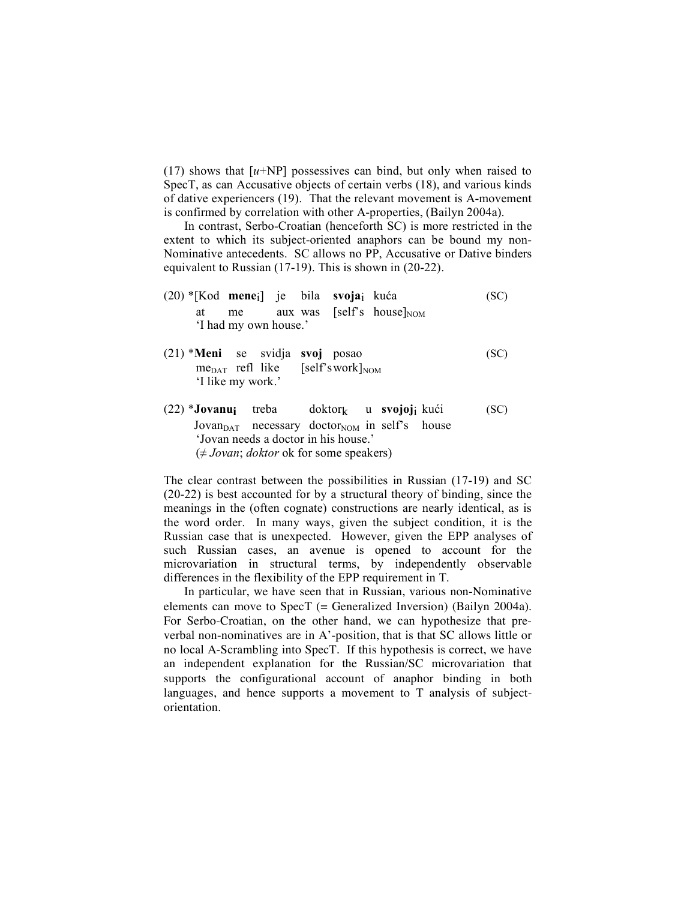$(17)$  shows that  $[u+NP]$  possessives can bind, but only when raised to SpecT, as can Accusative objects of certain verbs (18), and various kinds of dative experiencers (19). That the relevant movement is A-movement is confirmed by correlation with other A-properties, (Bailyn 2004a).

In contrast, Serbo-Croatian (henceforth SC) is more restricted in the extent to which its subject-oriented anaphors can be bound my non-Nominative antecedents. SC allows no PP, Accusative or Dative binders equivalent to Russian (17-19). This is shown in (20-22).

- (20) \*[Kod **mene**<sub>i</sub>] je bila **svoja**<sub>i</sub> kuća (SC) at me aux was [self's house] $_{\text{NOM}}$ 'I had my own house.'
- (21) \***Meni** se svidja **svoj** posao (SC)  $me<sub>DAT</sub>$  refl like [self'swork] $_{\text{NOM}}$ 'I like my work.'
- $(22)$  **\*Jovanui** treba doktor<sub>k</sub> u **svojoj**i kući (SC) Jovan $_{\text{DATA}}$  necessary doctor<sub>NOM</sub> in self's house 'Jovan needs a doctor in his house.'  $(\neq Jovan; doktor$  ok for some speakers)

The clear contrast between the possibilities in Russian (17-19) and SC (20-22) is best accounted for by a structural theory of binding, since the meanings in the (often cognate) constructions are nearly identical, as is the word order. In many ways, given the subject condition, it is the Russian case that is unexpected. However, given the EPP analyses of such Russian cases, an avenue is opened to account for the microvariation in structural terms, by independently observable differences in the flexibility of the EPP requirement in T.

In particular, we have seen that in Russian, various non-Nominative elements can move to SpecT (= Generalized Inversion) (Bailyn 2004a). For Serbo-Croatian, on the other hand, we can hypothesize that preverbal non-nominatives are in A'-position, that is that SC allows little or no local A-Scrambling into SpecT. If this hypothesis is correct, we have an independent explanation for the Russian/SC microvariation that supports the configurational account of anaphor binding in both languages, and hence supports a movement to T analysis of subjectorientation.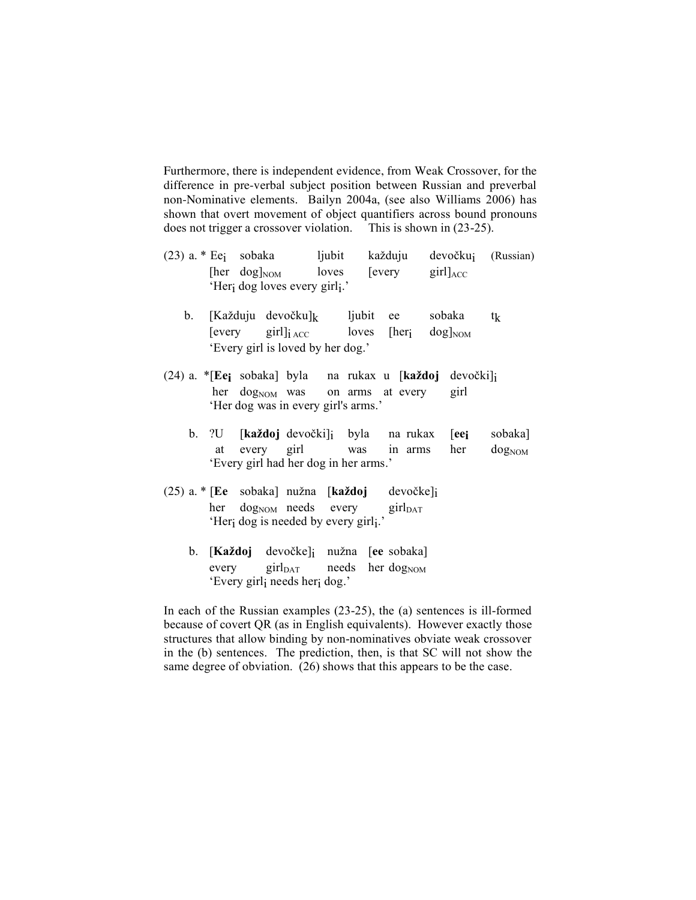Furthermore, there is independent evidence, from Weak Crossover, for the difference in pre-verbal subject position between Russian and preverbal non-Nominative elements. Bailyn 2004a, (see also Williams 2006) has shown that overt movement of object quantifiers across bound pronouns does not trigger a crossover violation. This is shown in (23-25).

- $(23)$  a. \* Eej sobaka ljubit každuju devočkuj (Russian) [her dog] $_{\text{NOM}}$  loves [every girl] $_{\text{ACC}}$ 'Heri dog loves every girli.'
	- b. [Každuju devočku] $k$  ljubit ee sobaka tk [every girl] $i_{\text{ACC}}$  loves [her<sub>i</sub> dog]<sub>NOM</sub> 'Every girl is loved by her dog.'
- (24) a. \*[Eej sobaka] byla na rukax u [každoj devočki]i her  $\log_{NOM}$  was on arms at every girl 'Her dog was in every girl's arms.'
	- b. ?U [**ka"doj** devo!ki]i byla na rukax [**eei** sobaka] at every girl was in arms her  $\log_{NOM}$ 'Every girl had her dog in her arms.'
- (25) a. \* [Ee sobaka] nužna [ka**ždoj** devočke]i her dog<sub>NOM</sub> needs every girl<sub>DAT</sub> 'Her<sub>i</sub> dog is needed by every girli.'
	- b. **[Každoj** devočke]<sub>i</sub> nužna [ee sobaka] every girl $_{\text{DATA}}$  needs her dog<sub>NOM</sub> 'Every girli needs heri dog.'

In each of the Russian examples (23-25), the (a) sentences is ill-formed because of covert QR (as in English equivalents). However exactly those structures that allow binding by non-nominatives obviate weak crossover in the (b) sentences. The prediction, then, is that SC will not show the same degree of obviation. (26) shows that this appears to be the case.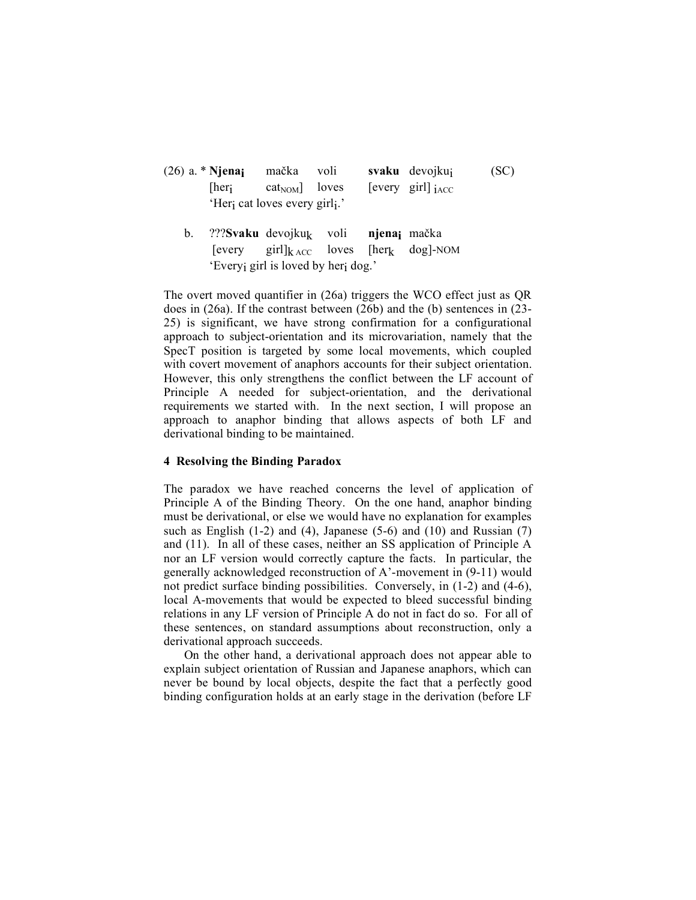- (26) a. \* **Njenai** mačka voli **svaku** devojkuj (SC)  $[her<sub>i</sub> \quad cat<sub>NOM</sub>] \quad loves \quad [every \quad girl]_{iACC}$ 'Heri cat loves every girli.'
	- b. ???**Svaku** devojku<sub>k</sub> voli **njenaj** mačka [every girl] $k_{\text{ACC}}$  loves [her<sub>k</sub> dog]-NOM 'Everyi girl is loved by heri dog.'

The overt moved quantifier in (26a) triggers the WCO effect just as QR does in (26a). If the contrast between (26b) and the (b) sentences in (23- 25) is significant, we have strong confirmation for a configurational approach to subject-orientation and its microvariation, namely that the SpecT position is targeted by some local movements, which coupled with covert movement of anaphors accounts for their subject orientation. However, this only strengthens the conflict between the LF account of Principle A needed for subject-orientation, and the derivational requirements we started with. In the next section, I will propose an approach to anaphor binding that allows aspects of both LF and derivational binding to be maintained.

### **4 Resolving the Binding Paradox**

The paradox we have reached concerns the level of application of Principle A of the Binding Theory. On the one hand, anaphor binding must be derivational, or else we would have no explanation for examples such as English  $(1-2)$  and  $(4)$ , Japanese  $(5-6)$  and  $(10)$  and Russian  $(7)$ and (11). In all of these cases, neither an SS application of Principle A nor an LF version would correctly capture the facts. In particular, the generally acknowledged reconstruction of A'-movement in (9-11) would not predict surface binding possibilities. Conversely, in (1-2) and (4-6), local A-movements that would be expected to bleed successful binding relations in any LF version of Principle A do not in fact do so. For all of these sentences, on standard assumptions about reconstruction, only a derivational approach succeeds.

On the other hand, a derivational approach does not appear able to explain subject orientation of Russian and Japanese anaphors, which can never be bound by local objects, despite the fact that a perfectly good binding configuration holds at an early stage in the derivation (before LF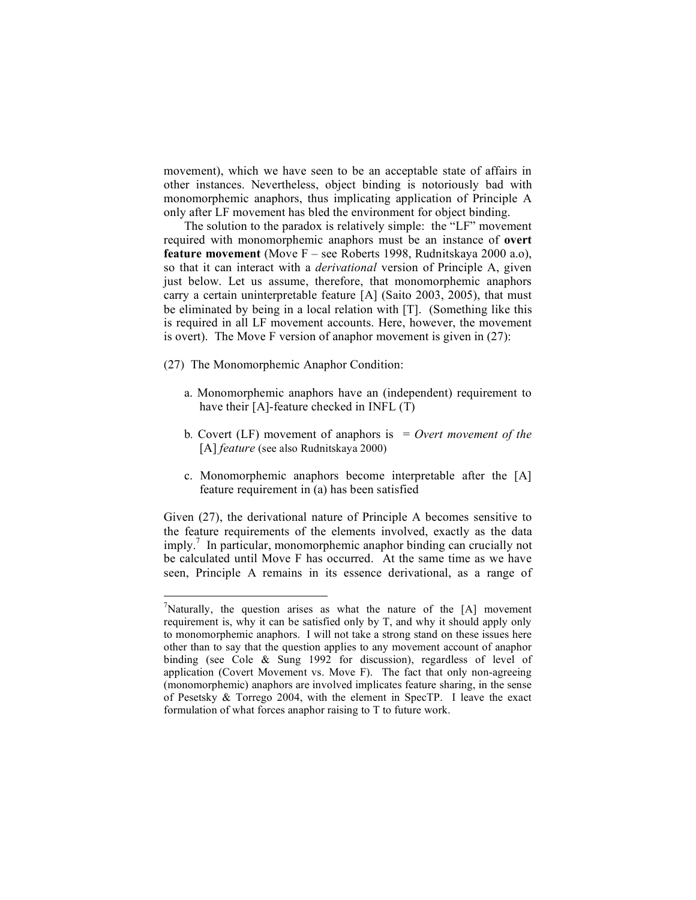movement), which we have seen to be an acceptable state of affairs in other instances. Nevertheless, object binding is notoriously bad with monomorphemic anaphors, thus implicating application of Principle A only after LF movement has bled the environment for object binding.

The solution to the paradox is relatively simple: the "LF" movement required with monomorphemic anaphors must be an instance of **overt feature movement** (Move F – see Roberts 1998, Rudnitskaya 2000 a.o), so that it can interact with a *derivational* version of Principle A, given just below. Let us assume, therefore, that monomorphemic anaphors carry a certain uninterpretable feature [A] (Saito 2003, 2005), that must be eliminated by being in a local relation with [T]. (Something like this is required in all LF movement accounts. Here, however, the movement is overt). The Move F version of anaphor movement is given in (27):

- (27) The Monomorphemic Anaphor Condition:
	- a. Monomorphemic anaphors have an (independent) requirement to have their [A]-feature checked in INFL (T)
	- b*.* Covert (LF) movement of anaphors is = *Overt movement of the* [A] *feature* (see also Rudnitskaya 2000)
	- c. Monomorphemic anaphors become interpretable after the [A] feature requirement in (a) has been satisfied

Given (27), the derivational nature of Principle A becomes sensitive to the feature requirements of the elements involved, exactly as the data imply. <sup>7</sup> In particular, monomorphemic anaphor binding can crucially not be calculated until Move F has occurred. At the same time as we have seen, Principle A remains in its essence derivational, as a range of

<sup>-&</sup>lt;br>7 <sup>7</sup>Naturally, the question arises as what the nature of the  $[A]$  movement requirement is, why it can be satisfied only by T, and why it should apply only to monomorphemic anaphors. I will not take a strong stand on these issues here other than to say that the question applies to any movement account of anaphor binding (see Cole & Sung 1992 for discussion), regardless of level of application (Covert Movement vs. Move F). The fact that only non-agreeing (monomorphemic) anaphors are involved implicates feature sharing, in the sense of Pesetsky & Torrego 2004, with the element in SpecTP. I leave the exact formulation of what forces anaphor raising to T to future work.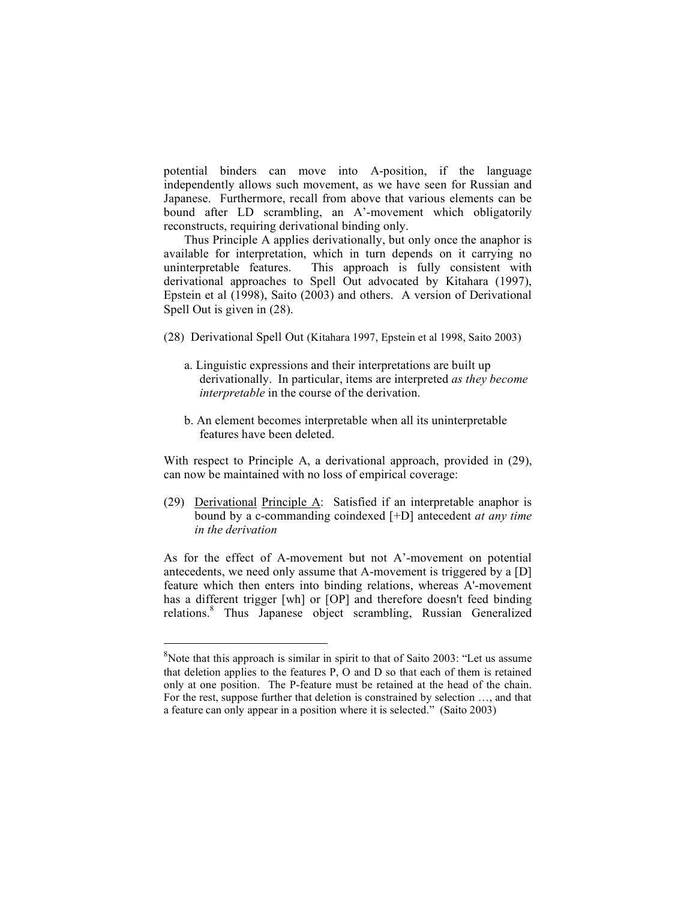potential binders can move into A-position, if the language independently allows such movement, as we have seen for Russian and Japanese. Furthermore, recall from above that various elements can be bound after LD scrambling, an A'-movement which obligatorily reconstructs, requiring derivational binding only.

Thus Principle A applies derivationally, but only once the anaphor is available for interpretation, which in turn depends on it carrying no uninterpretable features. This approach is fully consistent with derivational approaches to Spell Out advocated by Kitahara (1997), Epstein et al (1998), Saito (2003) and others. A version of Derivational Spell Out is given in (28).

- (28) Derivational Spell Out (Kitahara 1997, Epstein et al 1998, Saito 2003)
	- a. Linguistic expressions and their interpretations are built up derivationally. In particular, items are interpreted *as they become interpretable* in the course of the derivation.
	- b. An element becomes interpretable when all its uninterpretable features have been deleted.

With respect to Principle A, a derivational approach, provided in (29), can now be maintained with no loss of empirical coverage:

(29) Derivational Principle A: Satisfied if an interpretable anaphor is bound by a c-commanding coindexed [+D] antecedent *at any time in the derivation*

As for the effect of A-movement but not A'-movement on potential antecedents, we need only assume that A-movement is triggered by a [D] feature which then enters into binding relations, whereas A'-movement has a different trigger [wh] or [OP] and therefore doesn't feed binding relations. <sup>8</sup> Thus Japanese object scrambling, Russian Generalized

 $\overline{a}$ 

 $8$ Note that this approach is similar in spirit to that of Saito 2003: "Let us assume that deletion applies to the features P, O and D so that each of them is retained only at one position. The P-feature must be retained at the head of the chain. For the rest, suppose further that deletion is constrained by selection …, and that a feature can only appear in a position where it is selected." (Saito 2003)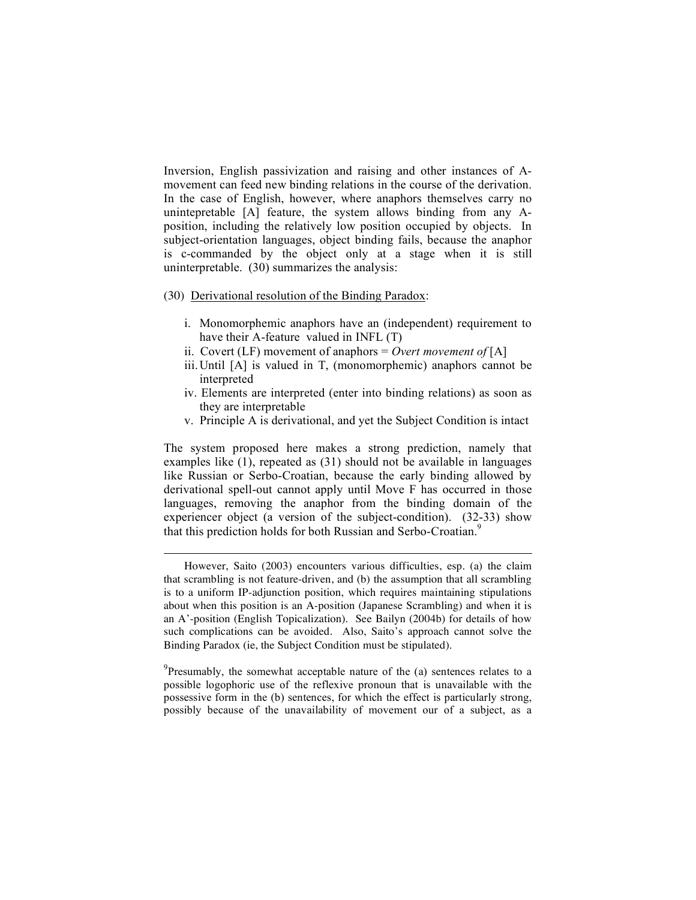Inversion, English passivization and raising and other instances of Amovement can feed new binding relations in the course of the derivation. In the case of English, however, where anaphors themselves carry no unintepretable [A] feature, the system allows binding from any Aposition, including the relatively low position occupied by objects. In subject-orientation languages, object binding fails, because the anaphor is c-commanded by the object only at a stage when it is still uninterpretable. (30) summarizes the analysis:

(30) Derivational resolution of the Binding Paradox:

 $\overline{a}$ 

- i. Monomorphemic anaphors have an (independent) requirement to have their A-feature valued in INFL (T)
- ii. Covert (LF) movement of anaphors = *Overt movement of* [A]
- iii.Until [A] is valued in T, (monomorphemic) anaphors cannot be interpreted
- iv. Elements are interpreted (enter into binding relations) as soon as they are interpretable
- v. Principle A is derivational, and yet the Subject Condition is intact

The system proposed here makes a strong prediction, namely that examples like (1), repeated as (31) should not be available in languages like Russian or Serbo-Croatian, because the early binding allowed by derivational spell-out cannot apply until Move F has occurred in those languages, removing the anaphor from the binding domain of the experiencer object (a version of the subject-condition). (32-33) show that this prediction holds for both Russian and Serbo-Croatian.<sup>9</sup>

 $9$ Presumably, the somewhat acceptable nature of the (a) sentences relates to a possible logophoric use of the reflexive pronoun that is unavailable with the possessive form in the (b) sentences, for which the effect is particularly strong, possibly because of the unavailability of movement our of a subject, as a

However, Saito (2003) encounters various difficulties, esp. (a) the claim that scrambling is not feature-driven, and (b) the assumption that all scrambling is to a uniform IP-adjunction position, which requires maintaining stipulations about when this position is an A-position (Japanese Scrambling) and when it is an A'-position (English Topicalization). See Bailyn (2004b) for details of how such complications can be avoided. Also, Saito's approach cannot solve the Binding Paradox (ie, the Subject Condition must be stipulated).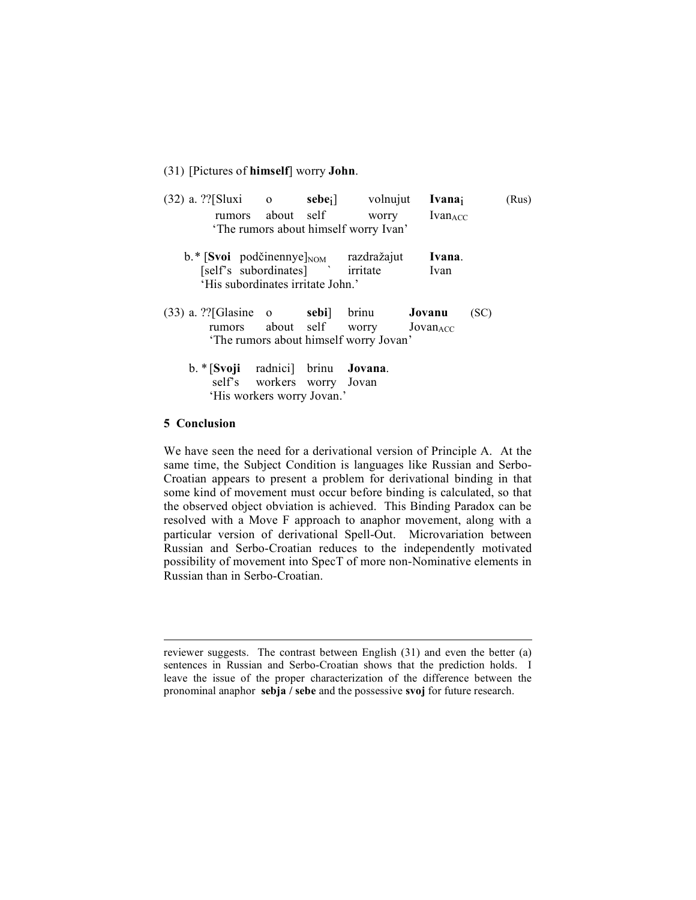### (31) [Pictures of **himself**] worry **John**.

| $(32)$ a. ??[Sluxi o<br>rumors about self                                                                                               |                |       | sebe <sub>i</sub> volnujut<br>worry<br>'The rumors about himself worry Ivan'          | Ivanaj<br>Ivan <sub>ACC</sub> |      | (Rus) |
|-----------------------------------------------------------------------------------------------------------------------------------------|----------------|-------|---------------------------------------------------------------------------------------|-------------------------------|------|-------|
| $\mathbf{b}$ .* [Svoi podčinennye] $_{\text{NOM}}$ razdražajut<br>[self's subordinates] ` irritate<br>'His subordinates irritate John.' |                |       |                                                                                       | Ivana.<br>Ivan                |      |       |
| $(33)$ a. ?? [Glasine o                                                                                                                 |                | sebi] | brinu<br>rumors about self worry $JovanACC$<br>'The rumors about himself worry Jovan' | Jovanu                        | (SC) |       |
| $b.$ * [Svoji                                                                                                                           | radnici] brinu |       | Jovana.                                                                               |                               |      |       |

self's workers worry Jovan 'His workers worry Jovan.'

### **5 Conclusion**

We have seen the need for a derivational version of Principle A. At the same time, the Subject Condition is languages like Russian and Serbo-Croatian appears to present a problem for derivational binding in that some kind of movement must occur before binding is calculated, so that the observed object obviation is achieved. This Binding Paradox can be resolved with a Move F approach to anaphor movement, along with a particular version of derivational Spell-Out. Microvariation between Russian and Serbo-Croatian reduces to the independently motivated possibility of movement into SpecT of more non-Nominative elements in Russian than in Serbo-Croatian.

reviewer suggests. The contrast between English (31) and even the better (a) sentences in Russian and Serbo-Croatian shows that the prediction holds. I leave the issue of the proper characterization of the difference between the pronominal anaphor **sebja / sebe** and the possessive **svoj** for future research.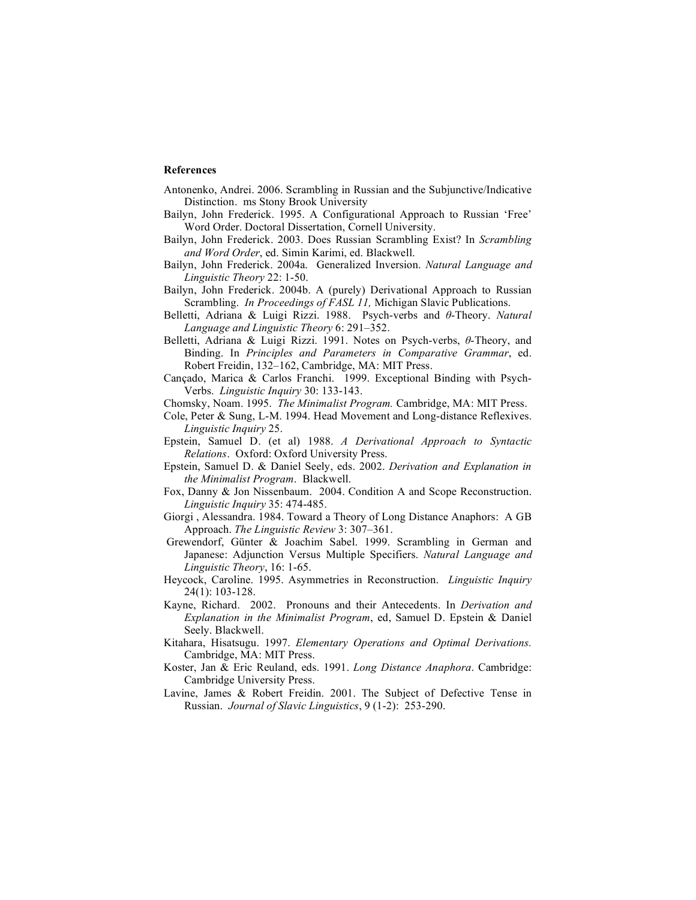#### **References**

- Antonenko, Andrei. 2006. Scrambling in Russian and the Subjunctive/Indicative Distinction. ms Stony Brook University
- Bailyn, John Frederick. 1995. A Configurational Approach to Russian 'Free' Word Order. Doctoral Dissertation, Cornell University.
- Bailyn, John Frederick. 2003. Does Russian Scrambling Exist? In *Scrambling and Word Order*, ed. Simin Karimi, ed. Blackwell.
- Bailyn, John Frederick. 2004a. Generalized Inversion. *Natural Language and Linguistic Theory* 22: 1-50.
- Bailyn, John Frederick. 2004b. A (purely) Derivational Approach to Russian Scrambling. *In Proceedings of FASL 11,* Michigan Slavic Publications.
- Belletti, Adriana & Luigi Rizzi. 1988. Psych-verbs and  $\theta$ -Theory. *Natural Language and Linguistic Theory* 6: 291–352.
- Belletti, Adriana & Luigi Rizzi. 1991. Notes on Psych-verbs, θ-Theory, and Binding. In *Principles and Parameters in Comparative Grammar*, ed. Robert Freidin, 132–162, Cambridge, MA: MIT Press.
- Cançado, Marica & Carlos Franchi. 1999. Exceptional Binding with Psych-Verbs. *Linguistic Inquiry* 30: 133-143.
- Chomsky, Noam. 1995. *The Minimalist Program.* Cambridge, MA: MIT Press.
- Cole, Peter & Sung, L-M. 1994. Head Movement and Long-distance Reflexives. *Linguistic Inquiry* 25.
- Epstein, Samuel D. (et al) 1988. *A Derivational Approach to Syntactic Relations*. Oxford: Oxford University Press.
- Epstein, Samuel D. & Daniel Seely, eds. 2002. *Derivation and Explanation in the Minimalist Program*. Blackwell.
- Fox, Danny & Jon Nissenbaum. 2004. Condition A and Scope Reconstruction. *Linguistic Inquiry* 35: 474-485.
- Giorgi , Alessandra. 1984. Toward a Theory of Long Distance Anaphors: A GB Approach. *The Linguistic Review* 3: 307–361.
- Grewendorf, Günter & Joachim Sabel. 1999. Scrambling in German and Japanese: Adjunction Versus Multiple Specifiers. *Natural Language and Linguistic Theory*, 16: 1-65.
- Heycock, Caroline. 1995. Asymmetries in Reconstruction. *Linguistic Inquiry* 24(1): 103-128.
- Kayne, Richard. 2002. Pronouns and their Antecedents. In *Derivation and Explanation in the Minimalist Program*, ed, Samuel D. Epstein & Daniel Seely. Blackwell.
- Kitahara, Hisatsugu. 1997. *Elementary Operations and Optimal Derivations.* Cambridge, MA: MIT Press.
- Koster, Jan & Eric Reuland, eds. 1991. *Long Distance Anaphora*. Cambridge: Cambridge University Press.
- Lavine, James & Robert Freidin. 2001. The Subject of Defective Tense in Russian. *Journal of Slavic Linguistics*, 9 (1-2): 253-290.